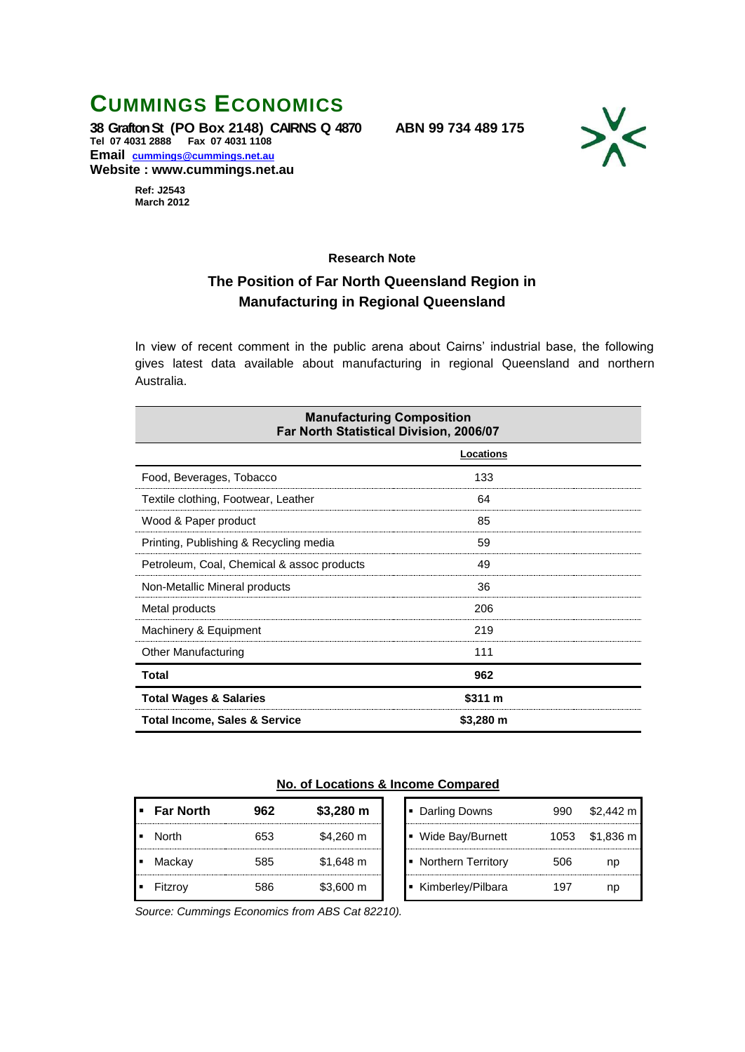## **CUMMINGS ECONOMICS**

**38 Grafton St (PO Box 2148) CAIRNS Q 4870 ABN 99 734 489 175 Tel 07 4031 2888 Fax 07 4031 1108 Email [cummings@cummings.net.au](mailto:cummings@cummings.net.au) Website : www.cummings.net.au**



**Ref: J2543 March 2012**

## **Research Note**

## **The Position of Far North Queensland Region in Manufacturing in Regional Queensland**

In view of recent comment in the public arena about Cairns' industrial base, the following gives latest data available about manufacturing in regional Queensland and northern Australia.

| <b>Manufacturing Composition</b><br>Far North Statistical Division, 2006/07 |           |  |  |  |
|-----------------------------------------------------------------------------|-----------|--|--|--|
|                                                                             | Locations |  |  |  |
| Food, Beverages, Tobacco                                                    | 133       |  |  |  |
| Textile clothing, Footwear, Leather                                         | 64        |  |  |  |
| Wood & Paper product                                                        | 85        |  |  |  |
| Printing, Publishing & Recycling media                                      | 59        |  |  |  |
| Petroleum, Coal, Chemical & assoc products                                  | 49        |  |  |  |
| Non-Metallic Mineral products                                               | 36        |  |  |  |
| Metal products                                                              | 206       |  |  |  |
| Machinery & Equipment                                                       | 219       |  |  |  |
| <b>Other Manufacturing</b>                                                  | 111       |  |  |  |
| Total                                                                       | 962       |  |  |  |
| <b>Total Wages &amp; Salaries</b>                                           | \$311 m   |  |  |  |
| <b>Total Income, Sales &amp; Service</b>                                    | \$3,280 m |  |  |  |

## **No. of Locations & Income Compared**

| <b>Far North</b> | 962 | $$3,280 \; m$ | Darling Downs<br>٠             | 990  | \$2,442 m |
|------------------|-----|---------------|--------------------------------|------|-----------|
| North            | 653 | \$4,260 m     | Wide Bay/Burnett<br>п          | 1053 | \$1,836 m |
| Mackay           | 585 | \$1,648 m     | <b>Northern Territory</b><br>п | 506  | nc        |
| <b>Fitzrov</b>   |     | \$3,600 m     | Kimberley/Pilbara              | 197  | nc        |

*Source: Cummings Economics from ABS Cat 82210).*